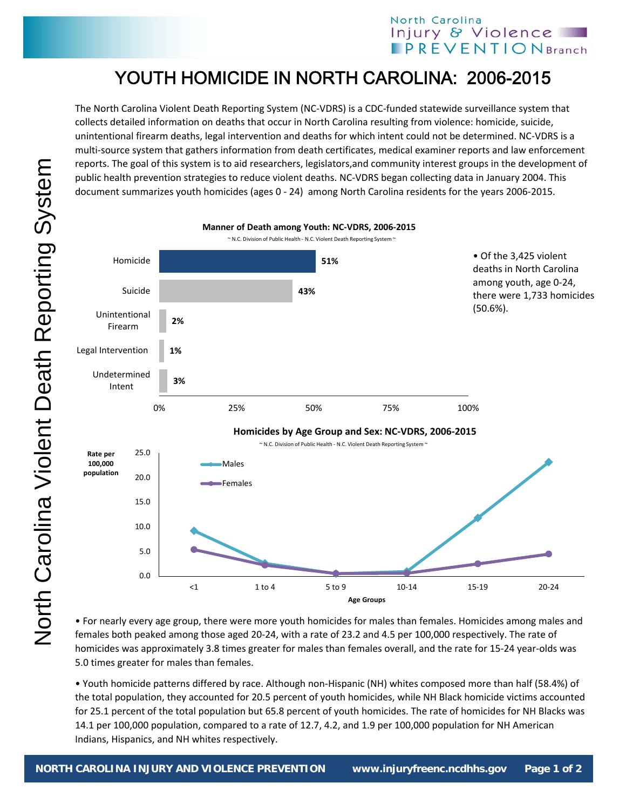## North Carolina Injury & Violence **PREVENTION** Branch

## YOUTH HOMICIDE IN NORTH CAROLINA: 2006-2015

The North Carolina Violent Death Reporting System (NC‐VDRS) is a CDC‐funded statewide surveillance system that collects detailed information on deaths that occur in North Carolina resulting from violence: homicide, suicide, unintentional firearm deaths, legal intervention and deaths for which intent could not be determined. NC‐VDRS is a multi‐source system that gathers information from death certificates, medical examiner reports and law enforcement reports. The goal of this system is to aid researchers, legislators,and community interest groups in the development of public health prevention strategies to reduce violent deaths. NC‐VDRS began collecting data in January 2004. This document summarizes youth homicides (ages 0 ‐ 24) among North Carolina residents for the years 2006‐2015.



• For nearly every age group, there were more youth homicides for males than females. Homicides among males and females both peaked among those aged 20‐24, with a rate of 23.2 and 4.5 per 100,000 respectively. The rate of homicides was approximately 3.8 times greater for males than females overall, and the rate for 15‐24 year‐olds was 5.0 times greater for males than females.

• Youth homicide patterns differed by race. Although non‐Hispanic (NH) whites composed more than half (58.4%) of the total population, they accounted for 20.5 percent of youth homicides, while NH Black homicide victims accounted for 25.1 percent of the total population but 65.8 percent of youth homicides. The rate of homicides for NH Blacks was 14.1 per 100,000 population, compared to a rate of 12.7, 4.2, and 1.9 per 100,000 population for NH American Indians, Hispanics, and NH whites respectively.